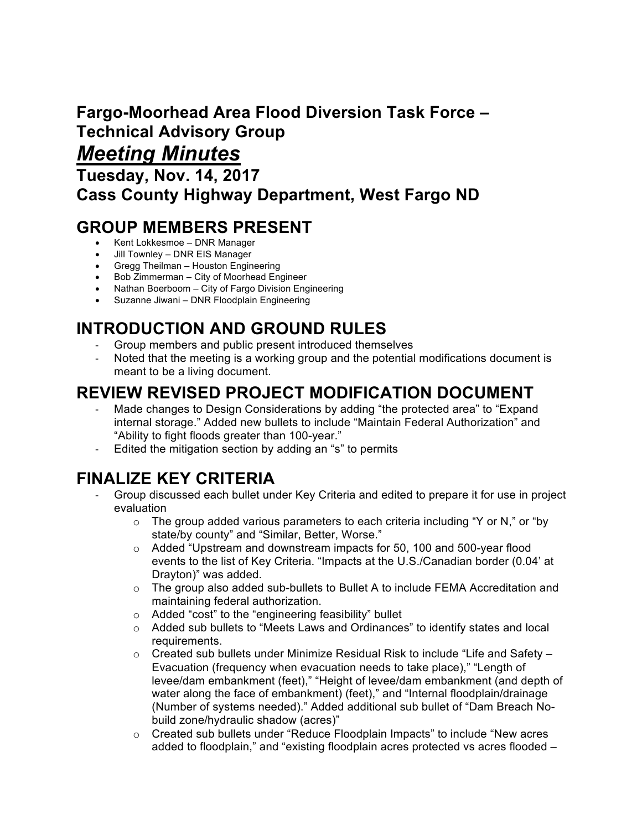# **Fargo-Moorhead Area Flood Diversion Task Force – Technical Advisory Group**

## *Meeting Minutes*

**Tuesday, Nov. 14, 2017 Cass County Highway Department, West Fargo ND**

### **GROUP MEMBERS PRESENT**

- Kent Lokkesmoe DNR Manager
- Jill Townley DNR EIS Manager
- Gregg Theilman Houston Engineering
- Bob Zimmerman City of Moorhead Engineer
- Nathan Boerboom City of Fargo Division Engineering
- Suzanne Jiwani DNR Floodplain Engineering

## **INTRODUCTION AND GROUND RULES**

- Group members and public present introduced themselves
- Noted that the meeting is a working group and the potential modifications document is meant to be a living document.

### **REVIEW REVISED PROJECT MODIFICATION DOCUMENT**

- Made changes to Design Considerations by adding "the protected area" to "Expand internal storage." Added new bullets to include "Maintain Federal Authorization" and "Ability to fight floods greater than 100-year."
- Edited the mitigation section by adding an "s" to permits

### **FINALIZE KEY CRITERIA**

- Group discussed each bullet under Key Criteria and edited to prepare it for use in project evaluation
	- $\circ$  The group added various parameters to each criteria including "Y or N," or "by state/by county" and "Similar, Better, Worse."
	- o Added "Upstream and downstream impacts for 50, 100 and 500-year flood events to the list of Key Criteria. "Impacts at the U.S./Canadian border (0.04' at Drayton)" was added.
	- o The group also added sub-bullets to Bullet A to include FEMA Accreditation and maintaining federal authorization.
	- o Added "cost" to the "engineering feasibility" bullet
	- o Added sub bullets to "Meets Laws and Ordinances" to identify states and local requirements.
	- $\circ$  Created sub bullets under Minimize Residual Risk to include "Life and Safety Evacuation (frequency when evacuation needs to take place)," "Length of levee/dam embankment (feet)," "Height of levee/dam embankment (and depth of water along the face of embankment) (feet)," and "Internal floodplain/drainage (Number of systems needed)." Added additional sub bullet of "Dam Breach Nobuild zone/hydraulic shadow (acres)"
	- o Created sub bullets under "Reduce Floodplain Impacts" to include "New acres added to floodplain," and "existing floodplain acres protected vs acres flooded –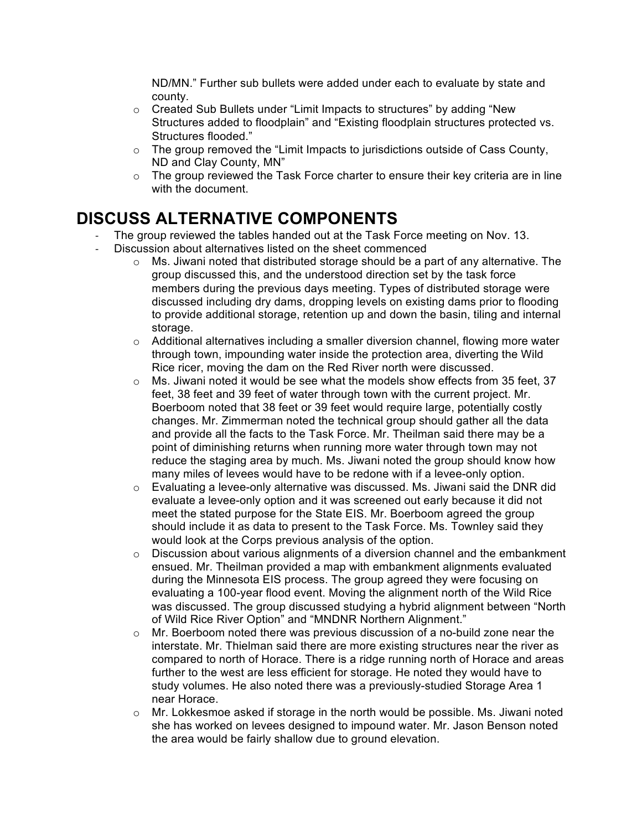ND/MN." Further sub bullets were added under each to evaluate by state and county.

- o Created Sub Bullets under "Limit Impacts to structures" by adding "New Structures added to floodplain" and "Existing floodplain structures protected vs. Structures flooded."
- $\circ$  The group removed the "Limit Impacts to jurisdictions outside of Cass County, ND and Clay County, MN"
- $\circ$  The group reviewed the Task Force charter to ensure their key criteria are in line with the document.

#### **DISCUSS ALTERNATIVE COMPONENTS**

- The group reviewed the tables handed out at the Task Force meeting on Nov. 13.
- Discussion about alternatives listed on the sheet commenced
	- $\circ$  Ms. Jiwani noted that distributed storage should be a part of any alternative. The group discussed this, and the understood direction set by the task force members during the previous days meeting. Types of distributed storage were discussed including dry dams, dropping levels on existing dams prior to flooding to provide additional storage, retention up and down the basin, tiling and internal storage.
	- $\circ$  Additional alternatives including a smaller diversion channel, flowing more water through town, impounding water inside the protection area, diverting the Wild Rice ricer, moving the dam on the Red River north were discussed.
	- o Ms. Jiwani noted it would be see what the models show effects from 35 feet, 37 feet, 38 feet and 39 feet of water through town with the current project. Mr. Boerboom noted that 38 feet or 39 feet would require large, potentially costly changes. Mr. Zimmerman noted the technical group should gather all the data and provide all the facts to the Task Force. Mr. Theilman said there may be a point of diminishing returns when running more water through town may not reduce the staging area by much. Ms. Jiwani noted the group should know how many miles of levees would have to be redone with if a levee-only option.
	- $\circ$  Evaluating a levee-only alternative was discussed. Ms. Jiwani said the DNR did evaluate a levee-only option and it was screened out early because it did not meet the stated purpose for the State EIS. Mr. Boerboom agreed the group should include it as data to present to the Task Force. Ms. Townley said they would look at the Corps previous analysis of the option.
	- $\circ$  Discussion about various alignments of a diversion channel and the embankment ensued. Mr. Theilman provided a map with embankment alignments evaluated during the Minnesota EIS process. The group agreed they were focusing on evaluating a 100-year flood event. Moving the alignment north of the Wild Rice was discussed. The group discussed studying a hybrid alignment between "North of Wild Rice River Option" and "MNDNR Northern Alignment."
	- $\circ$  Mr. Boerboom noted there was previous discussion of a no-build zone near the interstate. Mr. Thielman said there are more existing structures near the river as compared to north of Horace. There is a ridge running north of Horace and areas further to the west are less efficient for storage. He noted they would have to study volumes. He also noted there was a previously-studied Storage Area 1 near Horace.
	- $\circ$  Mr. Lokkesmoe asked if storage in the north would be possible. Ms. Jiwani noted she has worked on levees designed to impound water. Mr. Jason Benson noted the area would be fairly shallow due to ground elevation.